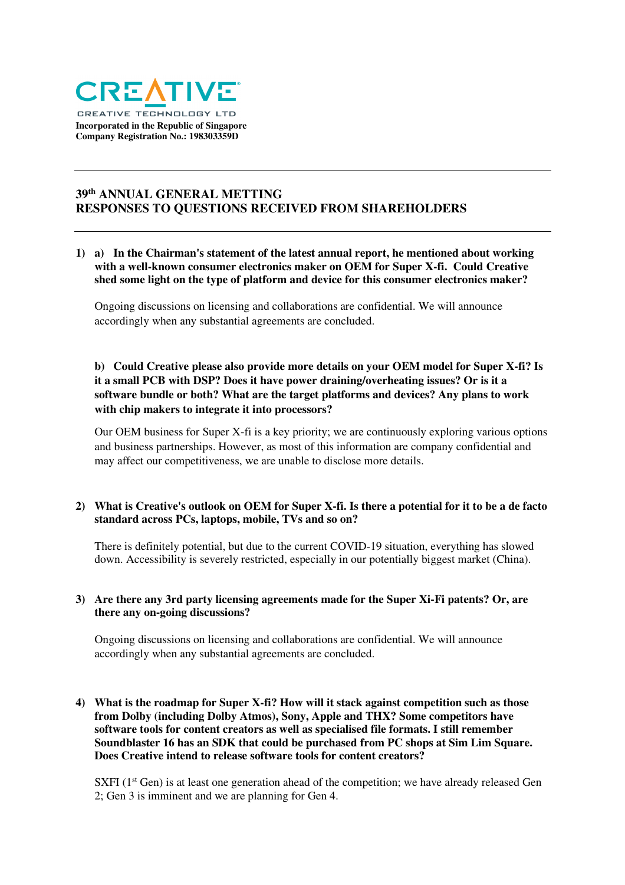

# **39th ANNUAL GENERAL METTING RESPONSES TO QUESTIONS RECEIVED FROM SHAREHOLDERS**

# **1) a) In the Chairman's statement of the latest annual report, he mentioned about working with a well-known consumer electronics maker on OEM for Super X-fi. Could Creative shed some light on the type of platform and device for this consumer electronics maker?**

Ongoing discussions on licensing and collaborations are confidential. We will announce accordingly when any substantial agreements are concluded.

# **b) Could Creative please also provide more details on your OEM model for Super X-fi? Is it a small PCB with DSP? Does it have power draining/overheating issues? Or is it a software bundle or both? What are the target platforms and devices? Any plans to work with chip makers to integrate it into processors?**

Our OEM business for Super X-fi is a key priority; we are continuously exploring various options and business partnerships. However, as most of this information are company confidential and may affect our competitiveness, we are unable to disclose more details.

# **2) What is Creative's outlook on OEM for Super X-fi. Is there a potential for it to be a de facto standard across PCs, laptops, mobile, TVs and so on?**

There is definitely potential, but due to the current COVID-19 situation, everything has slowed down. Accessibility is severely restricted, especially in our potentially biggest market (China).

# **3) Are there any 3rd party licensing agreements made for the Super Xi-Fi patents? Or, are there any on-going discussions?**

Ongoing discussions on licensing and collaborations are confidential. We will announce accordingly when any substantial agreements are concluded.

**4) What is the roadmap for Super X-fi? How will it stack against competition such as those from Dolby (including Dolby Atmos), Sony, Apple and THX? Some competitors have software tools for content creators as well as specialised file formats. I still remember Soundblaster 16 has an SDK that could be purchased from PC shops at Sim Lim Square. Does Creative intend to release software tools for content creators?** 

SXFI (1<sup>st</sup> Gen) is at least one generation ahead of the competition; we have already released Gen 2; Gen 3 is imminent and we are planning for Gen 4.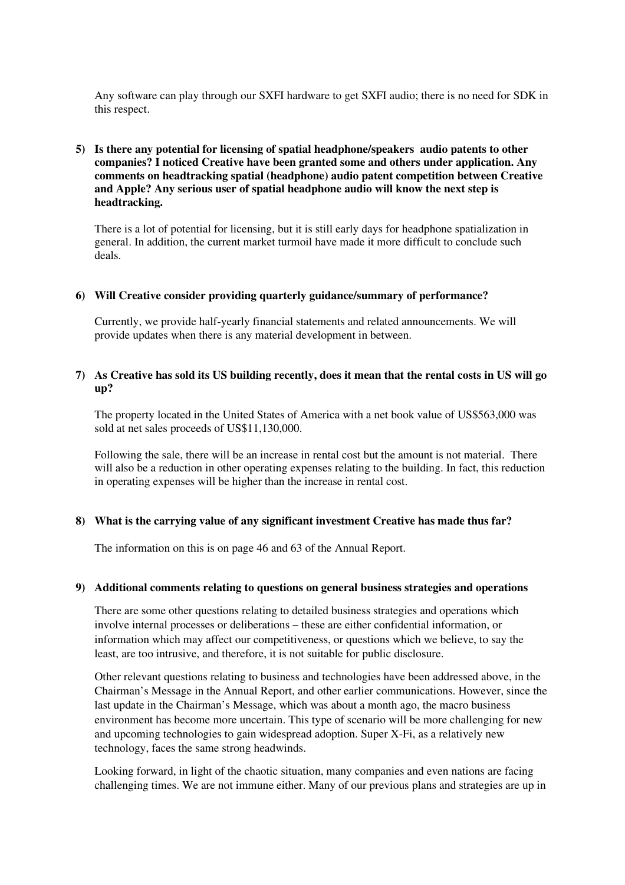Any software can play through our SXFI hardware to get SXFI audio; there is no need for SDK in this respect.

# **5) Is there any potential for licensing of spatial headphone/speakers audio patents to other companies? I noticed Creative have been granted some and others under application. Any comments on headtracking spatial (headphone) audio patent competition between Creative and Apple? Any serious user of spatial headphone audio will know the next step is headtracking.**

There is a lot of potential for licensing, but it is still early days for headphone spatialization in general. In addition, the current market turmoil have made it more difficult to conclude such deals.

### **6) Will Creative consider providing quarterly guidance/summary of performance?**

Currently, we provide half-yearly financial statements and related announcements. We will provide updates when there is any material development in between.

## **7) As Creative has sold its US building recently, does it mean that the rental costs in US will go up?**

The property located in the United States of America with a net book value of US\$563,000 was sold at net sales proceeds of US\$11,130,000.

Following the sale, there will be an increase in rental cost but the amount is not material. There will also be a reduction in other operating expenses relating to the building. In fact, this reduction in operating expenses will be higher than the increase in rental cost.

#### **8) What is the carrying value of any significant investment Creative has made thus far?**

The information on this is on page 46 and 63 of the Annual Report.

#### **9) Additional comments relating to questions on general business strategies and operations**

There are some other questions relating to detailed business strategies and operations which involve internal processes or deliberations – these are either confidential information, or information which may affect our competitiveness, or questions which we believe, to say the least, are too intrusive, and therefore, it is not suitable for public disclosure.

Other relevant questions relating to business and technologies have been addressed above, in the Chairman's Message in the Annual Report, and other earlier communications. However, since the last update in the Chairman's Message, which was about a month ago, the macro business environment has become more uncertain. This type of scenario will be more challenging for new and upcoming technologies to gain widespread adoption. Super X-Fi, as a relatively new technology, faces the same strong headwinds.

Looking forward, in light of the chaotic situation, many companies and even nations are facing challenging times. We are not immune either. Many of our previous plans and strategies are up in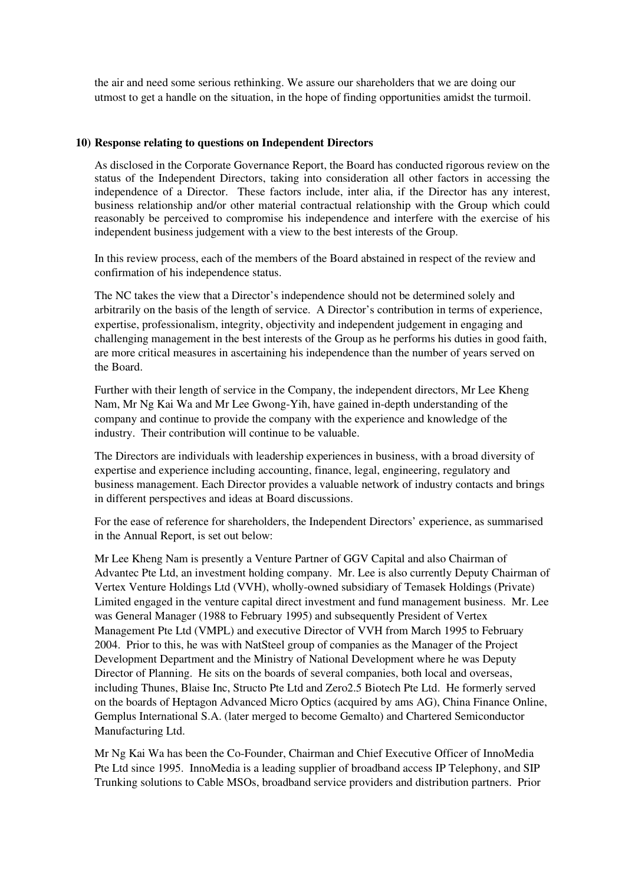the air and need some serious rethinking. We assure our shareholders that we are doing our utmost to get a handle on the situation, in the hope of finding opportunities amidst the turmoil.

#### **10) Response relating to questions on Independent Directors**

As disclosed in the Corporate Governance Report, the Board has conducted rigorous review on the status of the Independent Directors, taking into consideration all other factors in accessing the independence of a Director. These factors include, inter alia, if the Director has any interest, business relationship and/or other material contractual relationship with the Group which could reasonably be perceived to compromise his independence and interfere with the exercise of his independent business judgement with a view to the best interests of the Group.

In this review process, each of the members of the Board abstained in respect of the review and confirmation of his independence status.

The NC takes the view that a Director's independence should not be determined solely and arbitrarily on the basis of the length of service. A Director's contribution in terms of experience, expertise, professionalism, integrity, objectivity and independent judgement in engaging and challenging management in the best interests of the Group as he performs his duties in good faith, are more critical measures in ascertaining his independence than the number of years served on the Board.

Further with their length of service in the Company, the independent directors, Mr Lee Kheng Nam, Mr Ng Kai Wa and Mr Lee Gwong-Yih, have gained in-depth understanding of the company and continue to provide the company with the experience and knowledge of the industry. Their contribution will continue to be valuable.

The Directors are individuals with leadership experiences in business, with a broad diversity of expertise and experience including accounting, finance, legal, engineering, regulatory and business management. Each Director provides a valuable network of industry contacts and brings in different perspectives and ideas at Board discussions.

For the ease of reference for shareholders, the Independent Directors' experience, as summarised in the Annual Report, is set out below:

Mr Lee Kheng Nam is presently a Venture Partner of GGV Capital and also Chairman of Advantec Pte Ltd, an investment holding company. Mr. Lee is also currently Deputy Chairman of Vertex Venture Holdings Ltd (VVH), wholly-owned subsidiary of Temasek Holdings (Private) Limited engaged in the venture capital direct investment and fund management business. Mr. Lee was General Manager (1988 to February 1995) and subsequently President of Vertex Management Pte Ltd (VMPL) and executive Director of VVH from March 1995 to February 2004. Prior to this, he was with NatSteel group of companies as the Manager of the Project Development Department and the Ministry of National Development where he was Deputy Director of Planning. He sits on the boards of several companies, both local and overseas, including Thunes, Blaise Inc, Structo Pte Ltd and Zero2.5 Biotech Pte Ltd. He formerly served on the boards of Heptagon Advanced Micro Optics (acquired by ams AG), China Finance Online, Gemplus International S.A. (later merged to become Gemalto) and Chartered Semiconductor Manufacturing Ltd.

Mr Ng Kai Wa has been the Co-Founder, Chairman and Chief Executive Officer of InnoMedia Pte Ltd since 1995. InnoMedia is a leading supplier of broadband access IP Telephony, and SIP Trunking solutions to Cable MSOs, broadband service providers and distribution partners. Prior